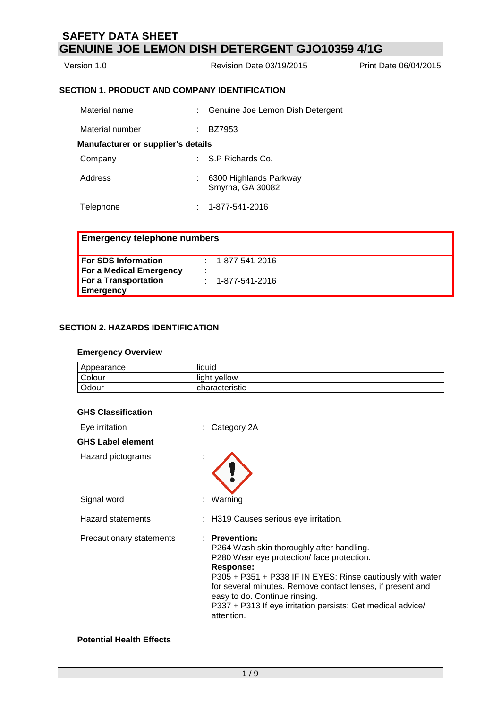| Version 1.0 | Revision Date 03/19/2015 | Print Date 06/04/2015 |
|-------------|--------------------------|-----------------------|
|             |                          |                       |

## **SECTION 1. PRODUCT AND COMPANY IDENTIFICATION**

| Material name                             | Genuine Joe Lemon Dish Detergent           |
|-------------------------------------------|--------------------------------------------|
| Material number                           | BZ7953                                     |
| <b>Manufacturer or supplier's details</b> |                                            |
| Company                                   | $\therefore$ S.P Richards Co.              |
| Address                                   | 6300 Highlands Parkway<br>Smyrna, GA 30082 |
| Telephone                                 | 1-877-541-2016                             |

| <b>Emergency telephone numbers</b> |  |                          |  |
|------------------------------------|--|--------------------------|--|
| <b>For SDS Information</b>         |  | : 1-877-541-2016         |  |
| For a Medical Emergency            |  |                          |  |
| For a Transportation               |  | $: 1 - 877 - 541 - 2016$ |  |
| Emergency                          |  |                          |  |

# **SECTION 2. HAZARDS IDENTIFICATION**

#### **Emergency Overview**

| Appearance | liquid         |
|------------|----------------|
| Colour     | light yellow   |
| Odour      | characteristic |

# **GHS Classification**

| Eye irritation           | $:$ Category 2A                                                                                                                                                                                                                                                                                                                                                |
|--------------------------|----------------------------------------------------------------------------------------------------------------------------------------------------------------------------------------------------------------------------------------------------------------------------------------------------------------------------------------------------------------|
| <b>GHS Label element</b> |                                                                                                                                                                                                                                                                                                                                                                |
| Hazard pictograms        |                                                                                                                                                                                                                                                                                                                                                                |
| Signal word              | : Warning                                                                                                                                                                                                                                                                                                                                                      |
| <b>Hazard statements</b> | : H319 Causes serious eye irritation.                                                                                                                                                                                                                                                                                                                          |
| Precautionary statements | : Prevention:<br>P264 Wash skin thoroughly after handling.<br>P280 Wear eye protection/face protection.<br>Response:<br>P305 + P351 + P338 IF IN EYES: Rinse cautiously with water<br>for several minutes. Remove contact lenses, if present and<br>easy to do. Continue rinsing.<br>P337 + P313 If eye irritation persists: Get medical advice/<br>attention. |

# **Potential Health Effects**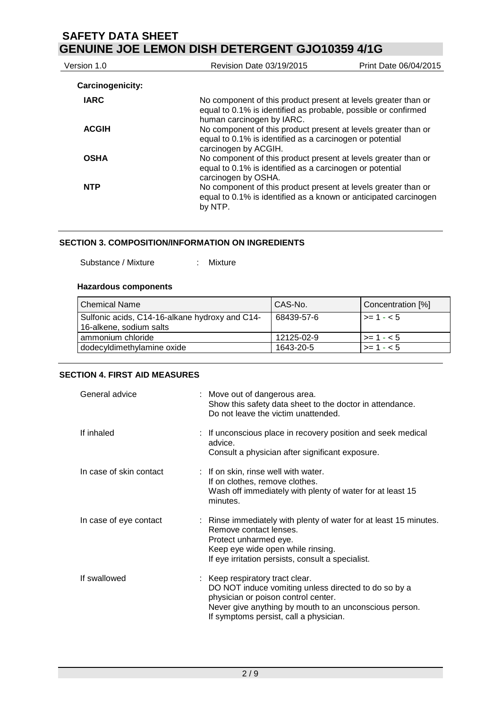| Version 1.0             | Revision Date 03/19/2015                                                                                                                                      | Print Date 06/04/2015 |
|-------------------------|---------------------------------------------------------------------------------------------------------------------------------------------------------------|-----------------------|
| <b>Carcinogenicity:</b> |                                                                                                                                                               |                       |
| <b>IARC</b>             | No component of this product present at levels greater than or<br>equal to 0.1% is identified as probable, possible or confirmed<br>human carcinogen by IARC. |                       |
| <b>ACGIH</b>            | No component of this product present at levels greater than or<br>equal to 0.1% is identified as a carcinogen or potential<br>carcinogen by ACGIH.            |                       |
| <b>OSHA</b>             | No component of this product present at levels greater than or<br>equal to 0.1% is identified as a carcinogen or potential<br>carcinogen by OSHA.             |                       |
| <b>NTP</b>              | No component of this product present at levels greater than or<br>equal to 0.1% is identified as a known or anticipated carcinogen<br>by NTP.                 |                       |

### **SECTION 3. COMPOSITION/INFORMATION ON INGREDIENTS**

Substance / Mixture : Mixture

## **Hazardous components**

| l Chemical Name                                                           | CAS-No.    | Concentration [%]  |
|---------------------------------------------------------------------------|------------|--------------------|
| Sulfonic acids, C14-16-alkane hydroxy and C14-<br>16-alkene, sodium salts | 68439-57-6 | $\ge -1.5$         |
| ammonium chloride                                                         | 12125-02-9 | $\vert \ge 1 - 5$  |
| dodecyldimethylamine oxide                                                | 1643-20-5  | $\vert$ >= 1 - < 5 |

## **SECTION 4. FIRST AID MEASURES**

| General advice          | : Move out of dangerous area.<br>Show this safety data sheet to the doctor in attendance.<br>Do not leave the victim unattended.                                                                                                   |
|-------------------------|------------------------------------------------------------------------------------------------------------------------------------------------------------------------------------------------------------------------------------|
| If inhaled              | : If unconscious place in recovery position and seek medical<br>advice.<br>Consult a physician after significant exposure.                                                                                                         |
| In case of skin contact | : If on skin, rinse well with water.<br>If on clothes, remove clothes.<br>Wash off immediately with plenty of water for at least 15<br>minutes.                                                                                    |
| In case of eye contact  | : Rinse immediately with plenty of water for at least 15 minutes.<br>Remove contact lenses.<br>Protect unharmed eye.<br>Keep eye wide open while rinsing.<br>If eye irritation persists, consult a specialist.                     |
| If swallowed            | : Keep respiratory tract clear.<br>DO NOT induce vomiting unless directed to do so by a<br>physician or poison control center.<br>Never give anything by mouth to an unconscious person.<br>If symptoms persist, call a physician. |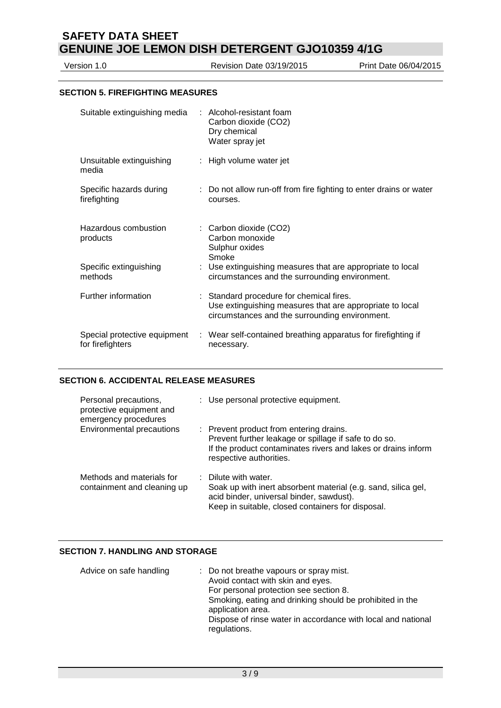Version 1.0 Revision Date 03/19/2015 Print Date 06/04/2015

#### **SECTION 5. FIREFIGHTING MEASURES**

| Suitable extinguishing media                     | : Alcohol-resistant foam<br>Carbon dioxide (CO2)<br>Dry chemical<br>Water spray jet                                                                    |
|--------------------------------------------------|--------------------------------------------------------------------------------------------------------------------------------------------------------|
| Unsuitable extinguishing<br>media                | : High volume water jet                                                                                                                                |
| Specific hazards during<br>firefighting          | : Do not allow run-off from fire fighting to enter drains or water<br>courses.                                                                         |
| Hazardous combustion<br>products                 | : Carbon dioxide (CO2)<br>Carbon monoxide<br>Sulphur oxides<br>Smoke                                                                                   |
| Specific extinguishing<br>methods                | : Use extinguishing measures that are appropriate to local<br>circumstances and the surrounding environment.                                           |
| Further information                              | : Standard procedure for chemical fires.<br>Use extinguishing measures that are appropriate to local<br>circumstances and the surrounding environment. |
| Special protective equipment<br>for firefighters | : Wear self-contained breathing apparatus for firefighting if<br>necessary.                                                                            |

### **SECTION 6. ACCIDENTAL RELEASE MEASURES**

| Personal precautions,<br>protective equipment and<br>emergency procedures | : Use personal protective equipment.                                                                                                                                                         |
|---------------------------------------------------------------------------|----------------------------------------------------------------------------------------------------------------------------------------------------------------------------------------------|
| Environmental precautions                                                 | : Prevent product from entering drains.<br>Prevent further leakage or spillage if safe to do so.<br>If the product contaminates rivers and lakes or drains inform<br>respective authorities. |
| Methods and materials for<br>containment and cleaning up                  | : Dilute with water.<br>Soak up with inert absorbent material (e.g. sand, silica gel,<br>acid binder, universal binder, sawdust).<br>Keep in suitable, closed containers for disposal.       |

### **SECTION 7. HANDLING AND STORAGE**

| Advice on safe handling | : Do not breathe vapours or spray mist.<br>Avoid contact with skin and eyes.<br>For personal protection see section 8.<br>Smoking, eating and drinking should be prohibited in the<br>application area.<br>Dispose of rinse water in accordance with local and national<br>regulations. |
|-------------------------|-----------------------------------------------------------------------------------------------------------------------------------------------------------------------------------------------------------------------------------------------------------------------------------------|
|-------------------------|-----------------------------------------------------------------------------------------------------------------------------------------------------------------------------------------------------------------------------------------------------------------------------------------|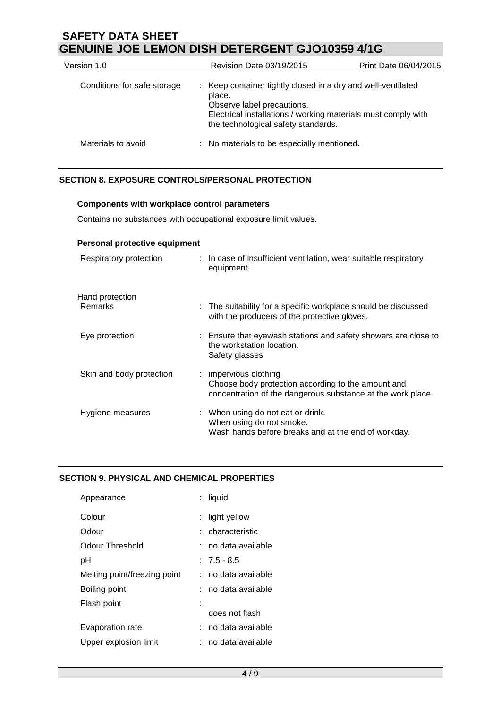| Version 1.0                 | <b>Revision Date 03/19/2015</b>                                                                                                                                                                              | Print Date 06/04/2015 |
|-----------------------------|--------------------------------------------------------------------------------------------------------------------------------------------------------------------------------------------------------------|-----------------------|
| Conditions for safe storage | : Keep container tightly closed in a dry and well-ventilated<br>place.<br>Observe label precautions.<br>Electrical installations / working materials must comply with<br>the technological safety standards. |                       |
| Materials to avoid          | : No materials to be especially mentioned.                                                                                                                                                                   |                       |

# **SECTION 8. EXPOSURE CONTROLS/PERSONAL PROTECTION**

## **Components with workplace control parameters**

Contains no substances with occupational exposure limit values.

| Personal protective equipment |                                                                                                                                            |
|-------------------------------|--------------------------------------------------------------------------------------------------------------------------------------------|
| Respiratory protection        | : In case of insufficient ventilation, wear suitable respiratory<br>equipment.                                                             |
| Hand protection               |                                                                                                                                            |
| Remarks                       | : The suitability for a specific workplace should be discussed<br>with the producers of the protective gloves.                             |
| Eye protection                | : Ensure that eyewash stations and safety showers are close to<br>the workstation location.<br>Safety glasses                              |
| Skin and body protection      | : impervious clothing<br>Choose body protection according to the amount and<br>concentration of the dangerous substance at the work place. |
| Hygiene measures              | : When using do not eat or drink.<br>When using do not smoke.<br>Wash hands before breaks and at the end of workday.                       |

# **SECTION 9. PHYSICAL AND CHEMICAL PROPERTIES**

| Appearance                   | liquid              |
|------------------------------|---------------------|
| Colour                       | light yellow        |
| Odour                        | : characteristic    |
| Odour Threshold              | : no data available |
| рH                           | $: 7.5 - 8.5$       |
| Melting point/freezing point | : no data available |
| Boiling point                | : no data available |
| Flash point                  |                     |
|                              | does not flash      |
| Evaporation rate             | : no data available |
| Upper explosion limit        | no data available   |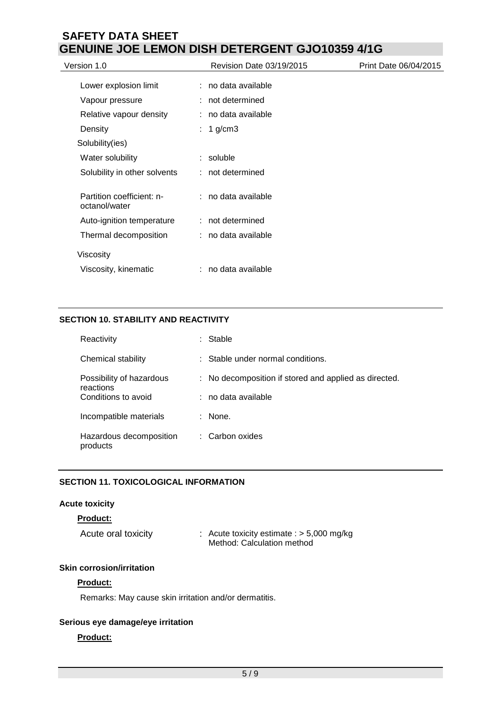| Version 1.0                                | Revision Date 03/19/2015 | Print Date 06/04/2015 |
|--------------------------------------------|--------------------------|-----------------------|
| Lower explosion limit                      | : no data available      |                       |
| Vapour pressure                            | : not determined         |                       |
| Relative vapour density                    | : no data available      |                       |
| Density                                    | : 1 g/cm3                |                       |
| Solubility(ies)                            |                          |                       |
| Water solubility                           | soluble<br>t.            |                       |
| Solubility in other solvents               | : not determined         |                       |
| Partition coefficient: n-<br>octanol/water | : no data available      |                       |
| Auto-ignition temperature                  | : not determined         |                       |
| Thermal decomposition                      | : no data available      |                       |
| Viscosity                                  |                          |                       |
| Viscosity, kinematic                       | : no data available      |                       |

# **SECTION 10. STABILITY AND REACTIVITY**

| Reactivity                            |    | Stable                                              |
|---------------------------------------|----|-----------------------------------------------------|
| Chemical stability                    |    | Stable under normal conditions.                     |
| Possibility of hazardous<br>reactions | ÷. | No decomposition if stored and applied as directed. |
| Conditions to avoid                   |    | no data available                                   |
| Incompatible materials                |    | None.                                               |
| Hazardous decomposition<br>products   |    | : Carbon oxides                                     |

# **SECTION 11. TOXICOLOGICAL INFORMATION**

# **Acute toxicity**

## **Product:**

| Acute oral toxicity | : Acute toxicity estimate : $> 5,000$ mg/kg |
|---------------------|---------------------------------------------|
|                     | Method: Calculation method                  |

# **Skin corrosion/irritation**

#### **Product:**

Remarks: May cause skin irritation and/or dermatitis.

# **Serious eye damage/eye irritation**

## **Product:**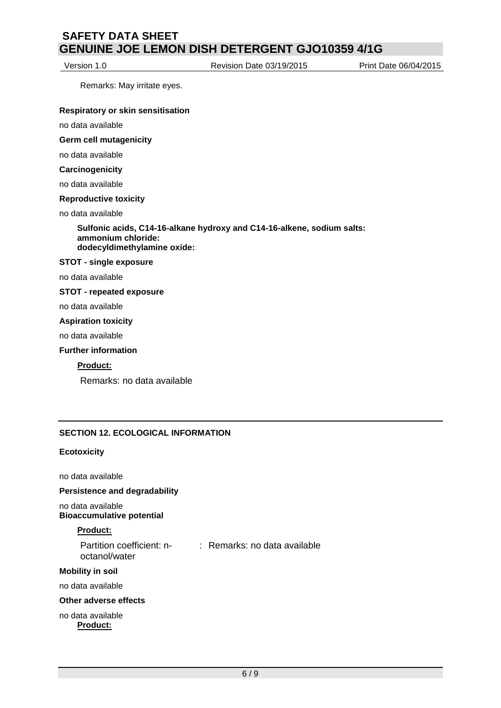Version 1.0 Revision Date 03/19/2015 Print Date 06/04/2015

Remarks: May irritate eyes.

#### **Respiratory or skin sensitisation**

no data available

**Germ cell mutagenicity**

no data available

#### **Carcinogenicity**

no data available

#### **Reproductive toxicity**

no data available

**Sulfonic acids, C14-16-alkane hydroxy and C14-16-alkene, sodium salts: ammonium chloride: dodecyldimethylamine oxide:**

#### **STOT - single exposure**

no data available

#### **STOT - repeated exposure**

no data available

#### **Aspiration toxicity**

no data available

#### **Further information**

#### **Product:**

Remarks: no data available

### **SECTION 12. ECOLOGICAL INFORMATION**

#### **Ecotoxicity**

no data available

#### **Persistence and degradability**

no data available **Bioaccumulative potential**

### **Product:**

| Partition coefficient: n- | : Remarks: no data available |
|---------------------------|------------------------------|
| octanol/water             |                              |

#### **Mobility in soil**

no data available

#### **Other adverse effects**

no data available **Product:**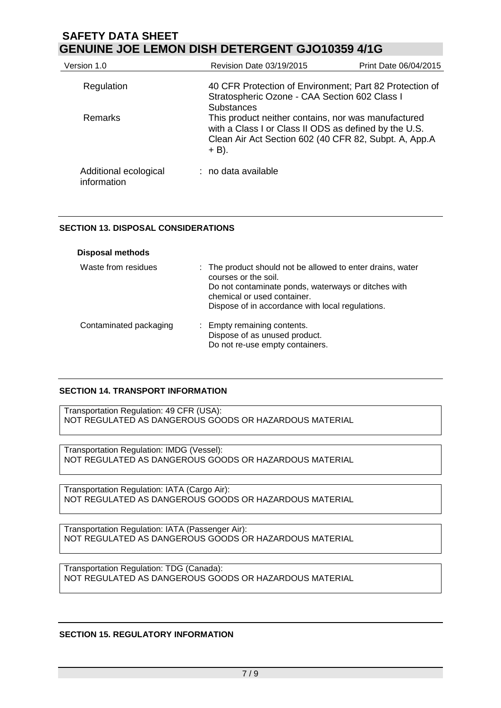| Version 1.0                          | Revision Date 03/19/2015                                                                                                                                                                               | Print Date 06/04/2015 |
|--------------------------------------|--------------------------------------------------------------------------------------------------------------------------------------------------------------------------------------------------------|-----------------------|
| Regulation                           | 40 CFR Protection of Environment; Part 82 Protection of<br>Stratospheric Ozone - CAA Section 602 Class I                                                                                               |                       |
| <b>Remarks</b>                       | <b>Substances</b><br>This product neither contains, nor was manufactured<br>with a Class I or Class II ODS as defined by the U.S.<br>Clean Air Act Section 602 (40 CFR 82, Subpt. A, App.A<br>$+ B$ ). |                       |
| Additional ecological<br>information | $:$ no data available                                                                                                                                                                                  |                       |

## **SECTION 13. DISPOSAL CONSIDERATIONS**

| <b>Disposal methods</b> |                                                                                                                                                                                                                              |
|-------------------------|------------------------------------------------------------------------------------------------------------------------------------------------------------------------------------------------------------------------------|
| Waste from residues     | : The product should not be allowed to enter drains, water<br>courses or the soil.<br>Do not contaminate ponds, waterways or ditches with<br>chemical or used container.<br>Dispose of in accordance with local regulations. |
| Contaminated packaging  | : Empty remaining contents.<br>Dispose of as unused product.<br>Do not re-use empty containers.                                                                                                                              |

# **SECTION 14. TRANSPORT INFORMATION**

Transportation Regulation: 49 CFR (USA): NOT REGULATED AS DANGEROUS GOODS OR HAZARDOUS MATERIAL

Transportation Regulation: IMDG (Vessel): NOT REGULATED AS DANGEROUS GOODS OR HAZARDOUS MATERIAL

Transportation Regulation: IATA (Cargo Air): NOT REGULATED AS DANGEROUS GOODS OR HAZARDOUS MATERIAL

Transportation Regulation: IATA (Passenger Air): NOT REGULATED AS DANGEROUS GOODS OR HAZARDOUS MATERIAL

Transportation Regulation: TDG (Canada): NOT REGULATED AS DANGEROUS GOODS OR HAZARDOUS MATERIAL

### **SECTION 15. REGULATORY INFORMATION**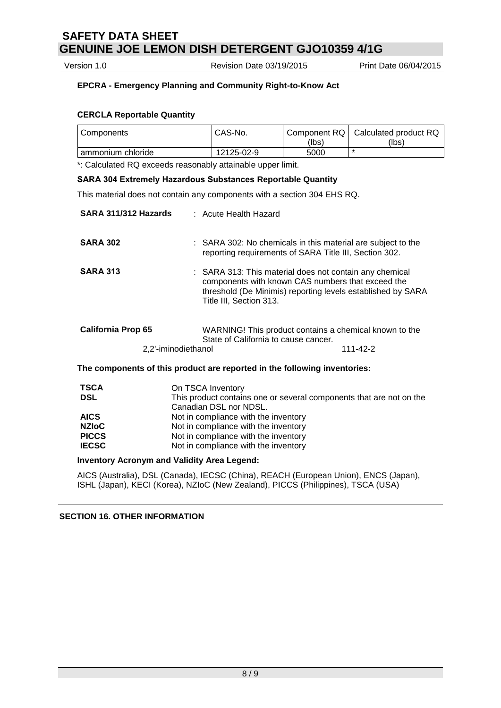Version 1.0 Revision Date 03/19/2015 Print Date 06/04/2015

# **EPCRA - Emergency Planning and Community Right-to-Know Act**

## **CERCLA Reportable Quantity**

| Components        | CAS-No.    |       | Component RQ   Calculated product RQ |
|-------------------|------------|-------|--------------------------------------|
|                   |            | (lbs) | (lbs)                                |
| ammonium chloride | 12125-02-9 | 5000  | ×                                    |

\*: Calculated RQ exceeds reasonably attainable upper limit.

### **SARA 304 Extremely Hazardous Substances Reportable Quantity**

This material does not contain any components with a section 304 EHS RQ.

| SARA 311/312 Hazards                             | : Acute Health Hazard                                                                                                                                                                                  |
|--------------------------------------------------|--------------------------------------------------------------------------------------------------------------------------------------------------------------------------------------------------------|
| <b>SARA 302</b>                                  | : SARA 302: No chemicals in this material are subject to the<br>reporting requirements of SARA Title III, Section 302.                                                                                 |
| <b>SARA 313</b>                                  | : SARA 313: This material does not contain any chemical<br>components with known CAS numbers that exceed the<br>threshold (De Minimis) reporting levels established by SARA<br>Title III, Section 313. |
| <b>California Prop 65</b><br>2,2'-iminodiethanol | WARNING! This product contains a chemical known to the<br>State of California to cause cancer.<br>111-42-2                                                                                             |
|                                                  | The components of this product are reported in the following inventories:                                                                                                                              |
| <b>TSCA</b>                                      | On TSCA Inventory                                                                                                                                                                                      |

| 136A         | <b>UIL LOUA INVENIORY</b>                                           |
|--------------|---------------------------------------------------------------------|
| <b>DSL</b>   | This product contains one or several components that are not on the |
|              | Canadian DSL nor NDSL.                                              |
| <b>AICS</b>  | Not in compliance with the inventory                                |
| <b>NZIoC</b> | Not in compliance with the inventory                                |
| <b>PICCS</b> | Not in compliance with the inventory                                |
| <b>IECSC</b> | Not in compliance with the inventory                                |

### **Inventory Acronym and Validity Area Legend:**

AICS (Australia), DSL (Canada), IECSC (China), REACH (European Union), ENCS (Japan), ISHL (Japan), KECI (Korea), NZIoC (New Zealand), PICCS (Philippines), TSCA (USA)

### **SECTION 16. OTHER INFORMATION**